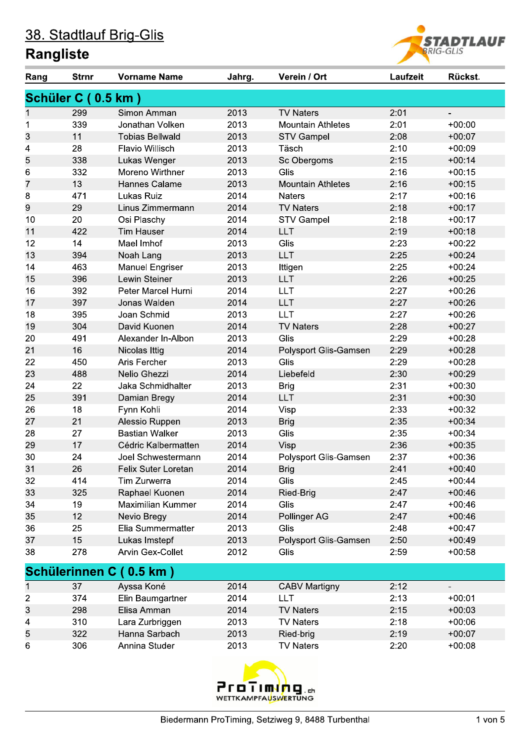

| Rang | <b>Strnr</b>       | <b>Vorname Name</b>      | Jahrg. | Verein / Ort             | Laufzeit | Rückst.                  |
|------|--------------------|--------------------------|--------|--------------------------|----------|--------------------------|
|      | Schüler C (0.5 km) |                          |        |                          |          |                          |
| 1    | 299                | Simon Amman              | 2013   | <b>TV Naters</b>         | 2:01     | $\overline{\phantom{a}}$ |
| 1    | 339                | Jonathan Volken          | 2013   | <b>Mountain Athletes</b> | 2:01     | $+00:00$                 |
| 3    | 11                 | <b>Tobias Bellwald</b>   | 2013   | <b>STV Gampel</b>        | 2:08     | $+00:07$                 |
| 4    | 28                 | Flavio Willisch          | 2013   | Täsch                    | 2:10     | $+00:09$                 |
| 5    | 338                | Lukas Wenger             | 2013   | Sc Obergoms              | 2:15     | $+00:14$                 |
| 6    | 332                | Moreno Wirthner          | 2013   | Glis                     | 2:16     | $+00:15$                 |
| 7    | 13                 | Hannes Calame            | 2013   | <b>Mountain Athletes</b> | 2:16     | $+00:15$                 |
| 8    | 471                | Lukas Ruiz               | 2014   | <b>Naters</b>            | 2:17     | $+00:16$                 |
| 9    | 29                 | Linus Zimmermann         | 2014   | <b>TV Naters</b>         | 2:18     | $+00:17$                 |
| 10   | 20                 | Osi Plaschy              | 2014   | <b>STV Gampel</b>        | 2:18     | $+00:17$                 |
| 11   | 422                | <b>Tim Hauser</b>        | 2014   | <b>LLT</b>               | 2:19     | $+00:18$                 |
| 12   | 14                 | Mael Imhof               | 2013   | Glis                     | 2:23     | $+00:22$                 |
| 13   | 394                | Noah Lang                | 2013   | <b>LLT</b>               | 2:25     | $+00:24$                 |
| 14   | 463                | <b>Manuel Engriser</b>   | 2013   | Ittigen                  | 2:25     | $+00:24$                 |
| 15   | 396                | <b>Lewin Steiner</b>     | 2013   | <b>LLT</b>               | 2:26     | $+00:25$                 |
| 16   | 392                | Peter Marcel Hurni       | 2014   | <b>LLT</b>               | 2:27     | $+00:26$                 |
| 17   | 397                | Jonas Walden             | 2014   | <b>LLT</b>               | 2:27     | $+00:26$                 |
| 18   | 395                | Joan Schmid              | 2013   | <b>LLT</b>               | 2:27     | $+00:26$                 |
| 19   | 304                | David Kuonen             | 2014   | <b>TV Naters</b>         | 2:28     | $+00:27$                 |
| 20   | 491                | Alexander In-Albon       | 2013   | Glis                     | 2:29     | $+00:28$                 |
| 21   | 16                 | Nicolas Ittig            | 2014   | Polysport Glis-Gamsen    | 2:29     | $+00:28$                 |
| 22   | 450                | Aris Fercher             | 2013   | Glis                     | 2:29     | $+00:28$                 |
| 23   | 488                | Nelio Ghezzi             | 2014   | Liebefeld                | 2:30     | $+00:29$                 |
| 24   | 22                 | Jaka Schmidhalter        | 2013   | <b>Brig</b>              | 2:31     | $+00:30$                 |
| 25   | 391                | Damian Bregy             | 2014   | <b>LLT</b>               | 2:31     | $+00:30$                 |
| 26   | 18                 | Fynn Kohli               | 2014   | Visp                     | 2:33     | $+00:32$                 |
| 27   | 21                 | Alessio Ruppen           | 2013   | <b>Brig</b>              | 2:35     | $+00:34$                 |
| 28   | 27                 | <b>Bastian Walker</b>    | 2013   | Glis                     | 2:35     | $+00:34$                 |
| 29   | 17                 | Cédric Kalbermatten      | 2014   | Visp                     | 2:36     | $+00:35$                 |
| 30   | 24                 | Joel Schwestermann       | 2014   | Polysport Glis-Gamsen    | 2:37     | $+00:36$                 |
| 31   | 26                 | Felix Suter Loretan      | 2014   | <b>Brig</b>              | 2:41     | $+00:40$                 |
| 32   | 414                | Tim Zurwerra             | 2014   | Glis                     | 2:45     | $+00:44$                 |
| 33   | 325                | Raphael Kuonen           | 2014   | Ried-Brig                | 2:47     | $+00:46$                 |
| 34   | 19                 | <b>Maximilian Kummer</b> | 2014   | Glis                     | 2:47     | $+00:46$                 |
| 35   | 12                 | Nevio Bregy              | 2014   | Pollinger AG             | 2:47     | $+00:46$                 |
| 36   | 25                 | Elia Summermatter        | 2013   | Glis                     | 2:48     | $+00:47$                 |
| 37   | 15                 | Lukas Imstepf            | 2013   | Polysport Glis-Gamsen    | 2:50     | $+00:49$                 |
| 38   | 278                | Arvin Gex-Collet         | 2012   | Glis                     | 2:59     | $+00:58$                 |
|      |                    | Schülerinnen C (0.5 km)  |        |                          |          |                          |
| 1    | 37                 | Ayssa Koné               | 2014   | <b>CABV Martigny</b>     | 2:12     |                          |
| 2    | 374                | Elin Baumgartner         | 2014   | <b>LLT</b>               | 2:13     | $+00:01$                 |
| 3    | 298                | Elisa Amman              | 2014   | <b>TV Naters</b>         | 2:15     | $+00:03$                 |
| 4    | 310                | Lara Zurbriggen          | 2013   | <b>TV Naters</b>         | 2:18     | $+00:06$                 |
| 5    | 322                | Hanna Sarbach            | 2013   | Ried-brig                | 2:19     | $+00:07$                 |
| 6    | 306                | Annina Studer            | 2013   | <b>TV Naters</b>         | 2:20     | $+00:08$                 |

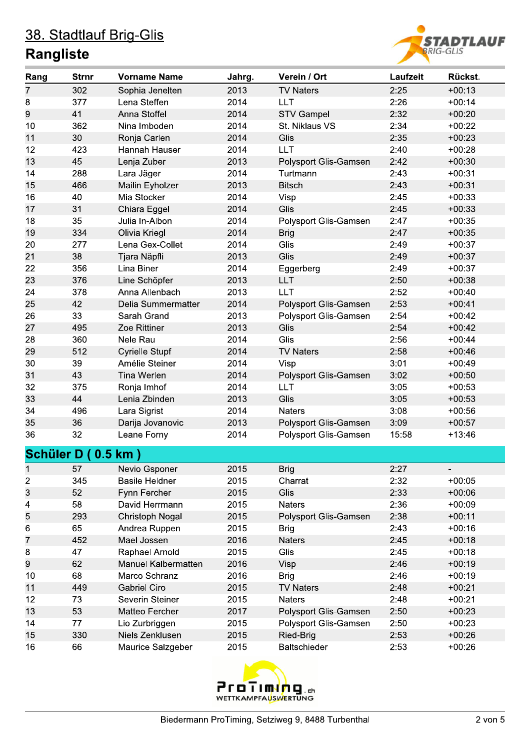

| Rang             | <b>Strnr</b> | <b>Vorname Name</b>        | Jahrg. | Verein / Ort          | Laufzeit | Rückst.  |
|------------------|--------------|----------------------------|--------|-----------------------|----------|----------|
| 7                | 302          | Sophia Jenelten            | 2013   | <b>TV Naters</b>      | 2:25     | $+00:13$ |
| $\bf 8$          | 377          | Lena Steffen               | 2014   | <b>LLT</b>            | 2:26     | $+00:14$ |
| 9                | 41           | Anna Stoffel               | 2014   | <b>STV Gampel</b>     | 2:32     | $+00:20$ |
| 10               | 362          | Nina Imboden               | 2014   | St. Niklaus VS        | 2:34     | $+00:22$ |
| 11               | 30           | Ronja Carlen               | 2014   | Glis                  | 2:35     | $+00:23$ |
| 12               | 423          | Hannah Hauser              | 2014   | <b>LLT</b>            | 2:40     | $+00:28$ |
| 13               | 45           | Lenja Zuber                | 2013   | Polysport Glis-Gamsen | 2:42     | $+00:30$ |
| 14               | 288          | Lara Jäger                 | 2014   | Turtmann              | 2:43     | $+00:31$ |
| 15               | 466          | Mailin Eyholzer            | 2013   | <b>Bitsch</b>         | 2:43     | $+00:31$ |
| 16               | 40           | Mia Stocker                | 2014   | Visp                  | 2:45     | $+00:33$ |
| 17               | 31           | Chiara Eggel               | 2014   | Glis                  | 2:45     | $+00:33$ |
| 18               | 35           | Julia In-Albon             | 2014   | Polysport Glis-Gamsen | 2:47     | $+00:35$ |
| 19               | 334          | Olivia Kriegl              | 2014   | <b>Brig</b>           | 2:47     | $+00:35$ |
| 20               | 277          | Lena Gex-Collet            | 2014   | Glis                  | 2:49     | $+00:37$ |
| 21               | 38           | Tjara Näpfli               | 2013   | Glis                  | 2:49     | $+00:37$ |
| 22               | 356          | Lina Biner                 | 2014   | Eggerberg             | 2:49     | $+00:37$ |
| 23               | 376          | Line Schöpfer              | 2013   | <b>LLT</b>            | 2:50     | $+00:38$ |
| 24               | 378          | Anna Allenbach             | 2013   | <b>LLT</b>            | 2:52     | $+00:40$ |
| 25               | 42           | Delia Summermatter         | 2014   | Polysport Glis-Gamsen | 2:53     | $+00:41$ |
| 26               | 33           | Sarah Grand                | 2013   | Polysport Glis-Gamsen | 2:54     | $+00:42$ |
| 27               | 495          | Zoe Rittiner               | 2013   | Glis                  | 2:54     | $+00:42$ |
| 28               | 360          | Nele Rau                   | 2014   | Glis                  | 2:56     | $+00:44$ |
| 29               | 512          | <b>Cyrielle Stupf</b>      | 2014   | <b>TV Naters</b>      | 2:58     | $+00:46$ |
| 30               | 39           | Amélie Steiner             | 2014   | Visp                  | 3:01     | $+00:49$ |
| 31               | 43           | Tina Werlen                | 2014   | Polysport Glis-Gamsen | 3:02     | $+00:50$ |
| 32               | 375          | Ronja Imhof                | 2014   | <b>LLT</b>            | 3:05     | $+00:53$ |
| 33               | 44           | Lenia Zbinden              | 2013   | Glis                  | 3:05     | $+00:53$ |
| 34               | 496          | Lara Sigrist               | 2014   | <b>Naters</b>         | 3:08     | $+00:56$ |
| 35               | 36           | Darija Jovanovic           | 2013   | Polysport Glis-Gamsen | 3:09     | $+00:57$ |
| 36               | 32           | Leane Forny                | 2014   | Polysport Glis-Gamsen | 15:58    | $+13:46$ |
| <b>Schüler D</b> |              | $0.5$ km $)$               |        |                       |          |          |
|                  |              |                            |        |                       |          |          |
| 1                | 57           | Nevio Gsponer              | 2015   | <b>Brig</b>           | 2:27     |          |
| 2                | 345          | <b>Basile Heldner</b>      | 2015   | Charrat               | 2:32     | $+00:05$ |
| 3                | 52           | Fynn Fercher               | 2015   | Glis                  | 2:33     | $+00:06$ |
| 4                | 58           | David Herrmann             | 2015   | <b>Naters</b>         | 2:36     | $+00:09$ |
| 5                | 293          | Christoph Nogal            | 2015   | Polysport Glis-Gamsen | 2:38     | $+00:11$ |
| 6                | 65           | Andrea Ruppen              | 2015   | <b>Brig</b>           | 2:43     | $+00:16$ |
| 7                | 452          | Mael Jossen                | 2016   | <b>Naters</b>         | 2:45     | $+00:18$ |
| 8                | 47           | Raphael Arnold             | 2015   | Glis                  | 2:45     | $+00:18$ |
| 9                | 62           | <b>Manuel Kalbermatten</b> | 2016   | Visp                  | 2:46     | $+00:19$ |
| 10               | 68           | Marco Schranz              | 2016   | <b>Brig</b>           | 2:46     | $+00:19$ |
| 11               | 449          | <b>Gabriel Ciro</b>        | 2015   | <b>TV Naters</b>      | 2:48     | $+00:21$ |
| 12               | 73           | Severin Steiner            | 2015   | <b>Naters</b>         | 2:48     | $+00:21$ |
| 13               | 53           | Matteo Fercher             | 2017   | Polysport Glis-Gamsen | 2:50     | $+00:23$ |
| 14               | 77           | Lio Zurbriggen             | 2015   | Polysport Glis-Gamsen | 2:50     | $+00:23$ |
| 15               | 330          | Niels Zenklusen            | 2015   | Ried-Brig             | 2:53     | $+00:26$ |
| 16               | 66           | Maurice Salzgeber          | 2015   | Baltschieder          | 2:53     | $+00:26$ |

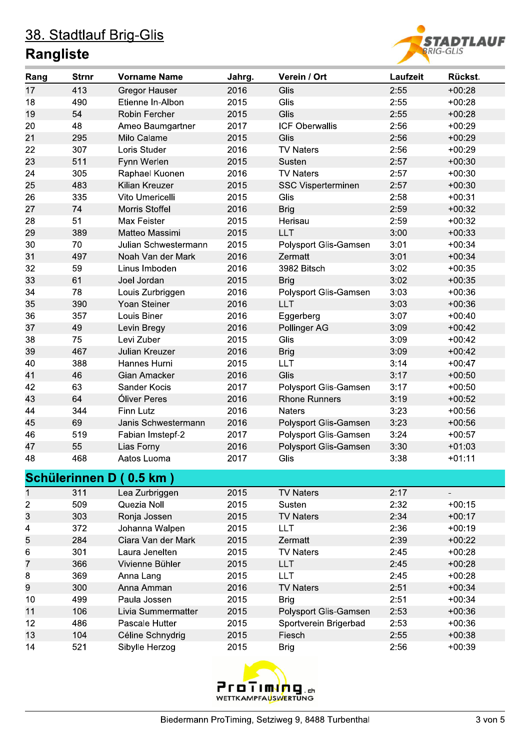

| Rang             | <b>Strnr</b> | <b>Vorname Name</b>     | Jahrg. | Verein / Ort              | Laufzeit | Rückst.  |
|------------------|--------------|-------------------------|--------|---------------------------|----------|----------|
| 17               | 413          | <b>Gregor Hauser</b>    | 2016   | Glis                      | 2:55     | $+00:28$ |
| 18               | 490          | Etienne In-Albon        | 2015   | Glis                      | 2:55     | $+00:28$ |
| 19               | 54           | Robin Fercher           | 2015   | Glis                      | 2:55     | $+00:28$ |
| 20               | 48           | Ameo Baumgartner        | 2017   | <b>ICF Oberwallis</b>     | 2:56     | $+00:29$ |
| 21               | 295          | Milo Calame             | 2015   | Glis                      | 2:56     | $+00:29$ |
| 22               | 307          | Loris Studer            | 2016   | <b>TV Naters</b>          | 2:56     | $+00:29$ |
| 23               | 511          | Fynn Werlen             | 2015   | Susten                    | 2:57     | $+00:30$ |
| 24               | 305          | Raphael Kuonen          | 2016   | <b>TV Naters</b>          | 2:57     | $+00:30$ |
| 25               | 483          | Kilian Kreuzer          | 2015   | <b>SSC Visperterminen</b> | 2:57     | $+00:30$ |
| 26               | 335          | Vito Umericelli         | 2015   | Glis                      | 2:58     | $+00:31$ |
| 27               | 74           | Morris Stoffel          | 2016   | <b>Brig</b>               | 2:59     | $+00:32$ |
| 28               | 51           | Max Feister             | 2015   | Herisau                   | 2:59     | $+00:32$ |
| 29               | 389          | Matteo Massimi          | 2015   | LLT                       | 3:00     | $+00:33$ |
| 30               | 70           | Julian Schwestermann    | 2015   | Polysport Glis-Gamsen     | 3:01     | $+00:34$ |
| 31               | 497          | Noah Van der Mark       | 2016   | Zermatt                   | 3:01     | $+00:34$ |
| 32               | 59           | Linus Imboden           | 2016   | 3982 Bitsch               | 3:02     | $+00:35$ |
| 33               | 61           | Joel Jordan             | 2015   | <b>Brig</b>               | 3:02     | $+00:35$ |
| 34               | 78           | Louis Zurbriggen        | 2016   | Polysport Glis-Gamsen     | 3:03     | $+00:36$ |
| 35               | 390          | Yoan Steiner            | 2016   | <b>LLT</b>                | 3:03     | $+00:36$ |
| 36               | 357          | Louis Biner             | 2016   | Eggerberg                 | 3:07     | $+00:40$ |
| 37               | 49           | Levin Bregy             | 2016   | Pollinger AG              | 3:09     | $+00:42$ |
| 38               | 75           | Levi Zuber              | 2015   | Glis                      | 3:09     | $+00:42$ |
| 39               | 467          | Julian Kreuzer          | 2016   | <b>Brig</b>               | 3:09     | $+00:42$ |
| 40               | 388          | Hannes Hurni            | 2015   | <b>LLT</b>                | 3:14     | $+00:47$ |
| 41               | 46           | Gian Amacker            | 2016   | Glis                      | 3:17     | $+00:50$ |
| 42               | 63           | Sander Kocis            | 2017   | Polysport Glis-Gamsen     | 3:17     | $+00:50$ |
| 43               | 64           | Óliver Peres            | 2016   | <b>Rhone Runners</b>      | 3:19     | $+00:52$ |
| 44               | 344          | Finn Lutz               | 2016   | <b>Naters</b>             | 3:23     | $+00:56$ |
| 45               | 69           | Janis Schwestermann     | 2016   | Polysport Glis-Gamsen     | 3:23     | $+00:56$ |
| 46               | 519          | Fabian Imstepf-2        | 2017   | Polysport Glis-Gamsen     | 3:24     | $+00:57$ |
| 47               | 55           | Lias Forny              | 2016   | Polysport Glis-Gamsen     | 3:30     | $+01:03$ |
| 48               | 468          | Aatos Luoma             | 2017   | Glis                      | 3:38     | $+01:11$ |
|                  |              | Schülerinnen D (0.5 km) |        |                           |          |          |
| 1                | 311          | Lea Zurbriggen          | 2015   | <b>TV Naters</b>          | 2:17     |          |
| $\boldsymbol{2}$ | 509          | Quezia Noll             | 2015   | Susten                    | 2:32     | $+00:15$ |
| 3                | 303          | Ronja Jossen            | 2015   | <b>TV Naters</b>          | 2:34     | $+00:17$ |
| 4                | 372          | Johanna Walpen          | 2015   | <b>LLT</b>                | 2:36     | $+00:19$ |
| 5                | 284          | Ciara Van der Mark      | 2015   | Zermatt                   | 2:39     | $+00:22$ |
| 6                | 301          | Laura Jenelten          | 2015   | <b>TV Naters</b>          | 2:45     | $+00:28$ |
| $\overline{7}$   | 366          | Vivienne Bühler         | 2015   | <b>LLT</b>                | 2:45     | $+00:28$ |
| 8                | 369          | Anna Lang               | 2015   | <b>LLT</b>                | 2:45     | $+00:28$ |
| 9                | 300          | Anna Amman              | 2016   | <b>TV Naters</b>          | 2:51     | $+00:34$ |
| 10               | 499          | Paula Jossen            | 2015   | <b>Brig</b>               | 2:51     | $+00:34$ |
| 11               | 106          | Livia Summermatter      | 2015   | Polysport Glis-Gamsen     | 2:53     | $+00:36$ |
| 12               | 486          | Pascale Hutter          | 2015   | Sportverein Brigerbad     | 2:53     | $+00:36$ |
| 13               | 104          | Céline Schnydrig        | 2015   | Fiesch                    | 2:55     | $+00:38$ |
| 14               | 521          | Sibylle Herzog          | 2015   | <b>Brig</b>               | 2:56     | $+00:39$ |

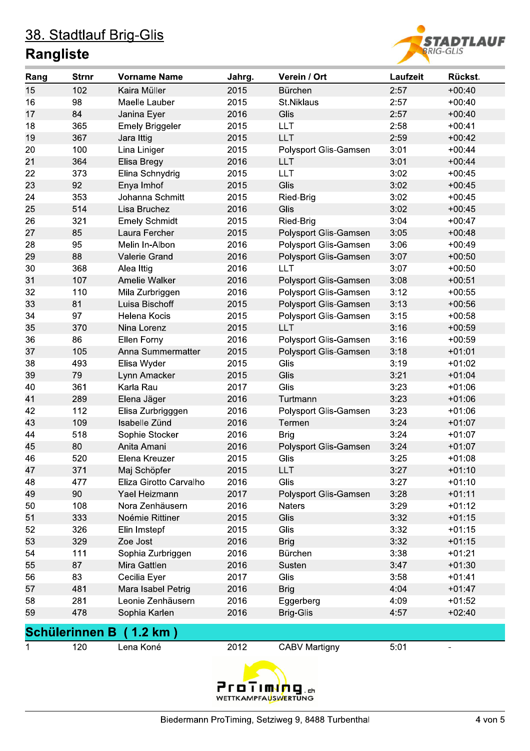

| Rang | <b>Strnr</b>          | <b>Vorname Name</b>    | Jahrg. | Verein / Ort          | Laufzeit | Rückst.  |
|------|-----------------------|------------------------|--------|-----------------------|----------|----------|
| 15   | 102                   | Kaira Müller           | 2015   | Bürchen               | 2:57     | $+00:40$ |
| 16   | 98                    | Maelle Lauber          | 2015   | St.Niklaus            | 2:57     | $+00:40$ |
| 17   | 84                    | Janina Eyer            | 2016   | Glis                  | 2:57     | $+00:40$ |
| 18   | 365                   | <b>Emely Briggeler</b> | 2015   | <b>LLT</b>            | 2:58     | $+00:41$ |
| 19   | 367                   | Jara Ittig             | 2015   | LLT                   | 2:59     | $+00:42$ |
| 20   | 100                   | Lina Liniger           | 2015   | Polysport Glis-Gamsen | 3:01     | $+00:44$ |
| 21   | 364                   | Elisa Bregy            | 2016   | LLT.                  | 3:01     | $+00:44$ |
| 22   | 373                   | Elina Schnydrig        | 2015   | <b>LLT</b>            | 3:02     | $+00:45$ |
| 23   | 92                    | Enya Imhof             | 2015   | Glis                  | 3:02     | $+00:45$ |
| 24   | 353                   | Johanna Schmitt        | 2015   | Ried-Brig             | 3:02     | $+00:45$ |
| 25   | 514                   | Lisa Bruchez           | 2016   | Glis                  | 3:02     | $+00:45$ |
| 26   | 321                   | <b>Emely Schmidt</b>   | 2015   | Ried-Brig             | 3:04     | $+00:47$ |
| 27   | 85                    | Laura Fercher          | 2015   | Polysport Glis-Gamsen | 3:05     | $+00:48$ |
| 28   | 95                    | Melin In-Albon         | 2016   | Polysport Glis-Gamsen | 3:06     | $+00:49$ |
| 29   | 88                    | Valerie Grand          | 2016   | Polysport Glis-Gamsen | 3:07     | $+00:50$ |
| 30   | 368                   | Alea Ittig             | 2016   | <b>LLT</b>            | 3:07     | $+00:50$ |
| 31   | 107                   | Amelie Walker          | 2016   | Polysport Glis-Gamsen | 3:08     | $+00:51$ |
| 32   | 110                   | Mila Zurbriggen        | 2016   | Polysport Glis-Gamsen | 3:12     | $+00:55$ |
| 33   | 81                    | Luisa Bischoff         | 2015   | Polysport Glis-Gamsen | 3:13     | $+00:56$ |
| 34   | 97                    | Helena Kocis           | 2015   | Polysport Glis-Gamsen | 3:15     | $+00:58$ |
| 35   | 370                   | Nina Lorenz            | 2015   | <b>LLT</b>            | 3:16     | $+00:59$ |
| 36   | 86                    | Ellen Forny            | 2016   | Polysport Glis-Gamsen | 3:16     | $+00:59$ |
| 37   | 105                   | Anna Summermatter      | 2015   | Polysport Glis-Gamsen | 3:18     | $+01:01$ |
| 38   | 493                   | Elisa Wyder            | 2015   | Glis                  | 3:19     | $+01:02$ |
| 39   | 79                    | Lynn Amacker           | 2015   | Glis                  | 3:21     | $+01:04$ |
| 40   | 361                   | Karla Rau              | 2017   | Glis                  | 3:23     | $+01:06$ |
| 41   | 289                   | Elena Jäger            | 2016   | Turtmann              | 3:23     | $+01:06$ |
| 42   | 112                   | Elisa Zurbrigggen      | 2016   | Polysport Glis-Gamsen | 3:23     | $+01:06$ |
| 43   | 109                   | Isabelle Zünd          | 2016   | Termen                | 3:24     | $+01:07$ |
| 44   | 518                   | Sophie Stocker         | 2016   | <b>Brig</b>           | 3:24     | $+01:07$ |
| 45   | 80                    | Anita Amani            | 2016   | Polysport Glis-Gamsen | 3:24     | $+01:07$ |
| 46   | 520                   | Elena Kreuzer          | 2015   | Glis                  | 3:25     | $+01:08$ |
| 47   | 371                   | Maj Schöpfer           | 2015   | <b>LLT</b>            | 3:27     | $+01:10$ |
| 48   | 477                   | Eliza Girotto Carvalho | 2016   | Glis                  | 3:27     | $+01:10$ |
| 49   | 90                    | Yael Heizmann          | 2017   | Polysport Glis-Gamsen | 3:28     | $+01:11$ |
| 50   | 108                   | Nora Zenhäusern        | 2016   | Naters                | 3:29     | $+01:12$ |
| 51   | 333                   | Noémie Rittiner        | 2015   | Glis                  | 3:32     | $+01:15$ |
| 52   | 326                   | Elin Imstepf           | 2015   | Glis                  | 3:32     | $+01:15$ |
| 53   | 329                   | Zoe Jost               | 2016   | <b>Brig</b>           | 3:32     | $+01:15$ |
| 54   | 111                   | Sophia Zurbriggen      | 2016   | Bürchen               | 3:38     | $+01:21$ |
| 55   | 87                    | Mira Gattlen           | 2016   | Susten                | 3:47     | $+01:30$ |
| 56   | 83                    | Cecilia Eyer           | 2017   | Glis                  | 3:58     | $+01:41$ |
| 57   | 481                   | Mara Isabel Petrig     | 2016   | <b>Brig</b>           | 4:04     | $+01:47$ |
| 58   | 281                   | Leonie Zenhäusern      | 2016   | Eggerberg             | 4:09     | $+01:52$ |
| 59   | 478                   | Sophia Karlen          | 2016   | <b>Brig-Glis</b>      | 4:57     | $+02:40$ |
|      | <b>Schülerinnen B</b> | 1.2 km)                |        |                       |          |          |
| 1    | 120                   | Lena Koné              | 2012   | <b>CABV Martigny</b>  | 5:01     |          |
|      |                       |                        |        |                       |          |          |
|      |                       |                        |        |                       |          |          |

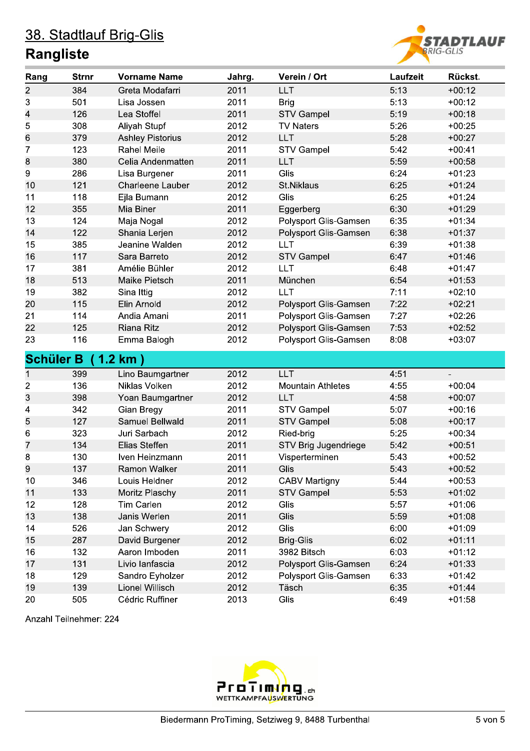#### **Rangliste**



| Rang             | <b>Strnr</b> | <b>Vorname Name</b>     | Jahrg. | Verein / Ort             | Laufzeit | Rückst.  |
|------------------|--------------|-------------------------|--------|--------------------------|----------|----------|
| $\overline{c}$   | 384          | Greta Modafarri         | 2011   | <b>LLT</b>               | 5:13     | $+00:12$ |
| 3                | 501          | Lisa Jossen             | 2011   | <b>Brig</b>              | 5:13     | $+00:12$ |
| 4                | 126          | Lea Stoffel             | 2011   | <b>STV Gampel</b>        | 5:19     | $+00:18$ |
| 5                | 308          | Aliyah Stupf            | 2012   | <b>TV Naters</b>         | 5:26     | $+00:25$ |
| 6                | 379          | <b>Ashley Pistorius</b> | 2012   | <b>LLT</b>               | 5:28     | $+00:27$ |
| 7                | 123          | <b>Rahel Meile</b>      | 2011   | <b>STV Gampel</b>        | 5:42     | $+00:41$ |
| 8                | 380          | Celia Andenmatten       | 2011   | <b>LLT</b>               | 5:59     | $+00:58$ |
| 9                | 286          | Lisa Burgener           | 2011   | Glis                     | 6:24     | $+01:23$ |
| 10               | 121          | <b>Charleene Lauber</b> | 2012   | St.Niklaus               | 6:25     | $+01:24$ |
| 11               | 118          | Ejla Bumann             | 2012   | Glis                     | 6:25     | $+01:24$ |
| 12               | 355          | Mia Biner               | 2011   | Eggerberg                | 6:30     | $+01:29$ |
| 13               | 124          | Maja Nogal              | 2012   | Polysport Glis-Gamsen    | 6:35     | $+01:34$ |
| 14               | 122          | Shania Lerjen           | 2012   | Polysport Glis-Gamsen    | 6:38     | $+01:37$ |
| 15               | 385          | Jeanine Walden          | 2012   | <b>LLT</b>               | 6:39     | $+01:38$ |
| 16               | 117          | Sara Barreto            | 2012   | <b>STV Gampel</b>        | 6:47     | $+01:46$ |
| 17               | 381          | Amélie Bühler           | 2012   | <b>LLT</b>               | 6:48     | $+01:47$ |
| 18               | 513          | Maike Pietsch           | 2011   | München                  | 6:54     | $+01:53$ |
| 19               | 382          | Sina Ittig              | 2012   | <b>LLT</b>               | 7:11     | $+02:10$ |
| 20               | 115          | Elin Arnold             | 2012   | Polysport Glis-Gamsen    | 7:22     | $+02:21$ |
| 21               | 114          | Andia Amani             | 2011   | Polysport Glis-Gamsen    | 7:27     | $+02:26$ |
| 22               | 125          | <b>Riana Ritz</b>       | 2012   | Polysport Glis-Gamsen    | 7:53     | $+02:52$ |
| 23               | 116          | Emma Balogh             | 2012   | Polysport Glis-Gamsen    | 8:08     | $+03:07$ |
| <b>Schüler B</b> |              | (1.2 km)                |        |                          |          |          |
| $\mathbf 1$      | 399          | Lino Baumgartner        | 2012   | LLT                      | 4:51     |          |
| $\overline{c}$   | 136          | Niklas Volken           | 2012   | <b>Mountain Athletes</b> | 4:55     | $+00:04$ |
| 3                | 398          | Yoan Baumgartner        | 2012   | <b>LLT</b>               | 4:58     | $+00:07$ |
| 4                | 342          | Gian Bregy              | 2011   | <b>STV Gampel</b>        | 5:07     | $+00:16$ |
| 5                | 127          | Samuel Bellwald         | 2011   | <b>STV Gampel</b>        | 5:08     | $+00:17$ |
| 6                | 323          | Juri Sarbach            | 2012   | Ried-brig                | 5:25     | $+00:34$ |
| 7                | 134          | Elias Steffen           | 2011   | STV Brig Jugendriege     | 5:42     | $+00:51$ |
| 8                | 130          | Iven Heinzmann          | 2011   | Visperterminen           | 5:43     | $+00:52$ |
| 9                | 137          | Ramon Walker            | 2011   | <b>Glis</b>              | 5:43     | $+00:52$ |
| 10               | 346          | Louis Heldner           | 2012   | <b>CABV Martigny</b>     | 5:44     | $+00:53$ |
| 11               | 133          | Moritz Plaschy          | 2011   | <b>STV Gampel</b>        | 5:53     | $+01:02$ |
| 12               | 128          | Tim Carlen              | 2012   | Glis                     | 5:57     | $+01:06$ |
| 13               | 138          | Janis Werlen            | 2011   | Glis                     | 5:59     | $+01:08$ |
| 14               | 526          | Jan Schwery             | 2012   | Glis                     | 6:00     | $+01:09$ |
| 15               | 287          | David Burgener          | 2012   | <b>Brig-Glis</b>         | 6:02     | $+01:11$ |
| 16               | 132          | Aaron Imboden           | 2011   | 3982 Bitsch              | 6:03     | $+01:12$ |
| 17               | 131          | Livio lanfascia         | 2012   | Polysport Glis-Gamsen    | 6:24     | $+01:33$ |
| 18               | 129          | Sandro Eyholzer         | 2012   | Polysport Glis-Gamsen    | 6:33     | $+01:42$ |
| 19               | 139          | Lionel Willisch         | 2012   | Täsch                    | 6:35     | $+01:44$ |
| 20               | 505          | Cédric Ruffiner         | 2013   | Glis                     | 6:49     | $+01:58$ |

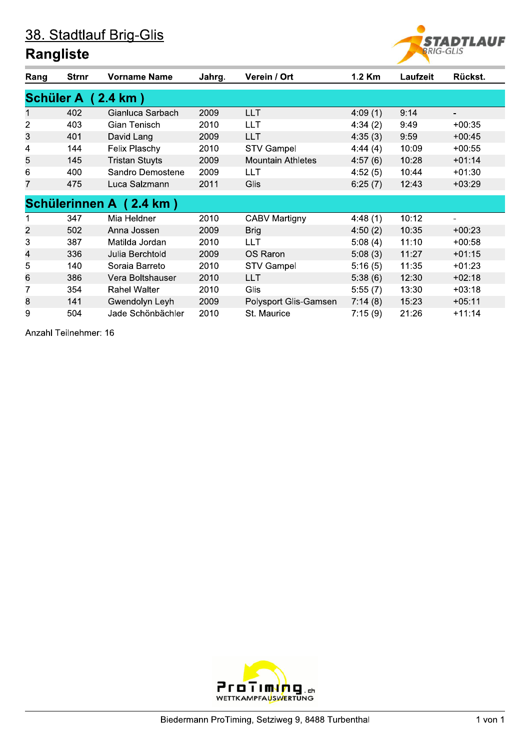#### **Rangliste**



| Rang             | <b>Strnr</b> | <b>Vorname Name</b>     | Jahrg. | Verein / Ort             | 1.2 Km  | Laufzeit | Rückst.  |
|------------------|--------------|-------------------------|--------|--------------------------|---------|----------|----------|
| <b>Schüler A</b> |              | $(2.4 \text{ km})$      |        |                          |         |          |          |
| 1                | 402          | Gianluca Sarbach        | 2009   | <b>LLT</b>               | 4:09(1) | 9:14     |          |
| $\overline{2}$   | 403          | Gian Tenisch            | 2010   | <b>LLT</b>               | 4:34(2) | 9:49     | $+00:35$ |
| 3                | 401          | David Lang              | 2009   | LLT                      | 4:35(3) | 9:59     | $+00:45$ |
| 4                | 144          | Felix Plaschy           | 2010   | <b>STV Gampel</b>        | 4:44(4) | 10:09    | $+00:55$ |
| 5                | 145          | <b>Tristan Stuyts</b>   | 2009   | <b>Mountain Athletes</b> | 4:57(6) | 10:28    | $+01:14$ |
| 6                | 400          | Sandro Demostene        | 2009   | LLT                      | 4:52(5) | 10:44    | $+01:30$ |
| 7                | 475          | Luca Salzmann           | 2011   | Glis                     | 6:25(7) | 12:43    | $+03:29$ |
|                  |              | Schülerinnen A (2.4 km) |        |                          |         |          |          |
|                  | 347          | Mia Heldner             | 2010   | <b>CABV Martigny</b>     | 4:48(1) | 10:12    | ٠        |
| $\overline{2}$   | 502          | Anna Jossen             | 2009   | <b>Brig</b>              | 4:50(2) | 10:35    | $+00:23$ |
| 3                | 387          | Matilda Jordan          | 2010   | <b>LLT</b>               | 5:08(4) | 11:10    | $+00:58$ |
| 4                | 336          | Julia Berchtold         | 2009   | OS Raron                 | 5:08(3) | 11:27    | $+01:15$ |
| 5                | 140          | Soraia Barreto          | 2010   | <b>STV Gampel</b>        | 5:16(5) | 11:35    | $+01:23$ |
| 6                | 386          | Vera Boltshauser        | 2010   | <b>LLT</b>               | 5:38(6) | 12:30    | $+02:18$ |
| 7                | 354          | <b>Rahel Walter</b>     | 2010   | Glis                     | 5:55(7) | 13:30    | $+03:18$ |
| 8                | 141          | Gwendolyn Leyh          | 2009   | Polysport Glis-Gamsen    | 7:14(8) | 15:23    | $+05:11$ |
| 9                | 504          | Jade Schönbächler       | 2010   | St. Maurice              | 7:15(9) | 21:26    | $+11:14$ |

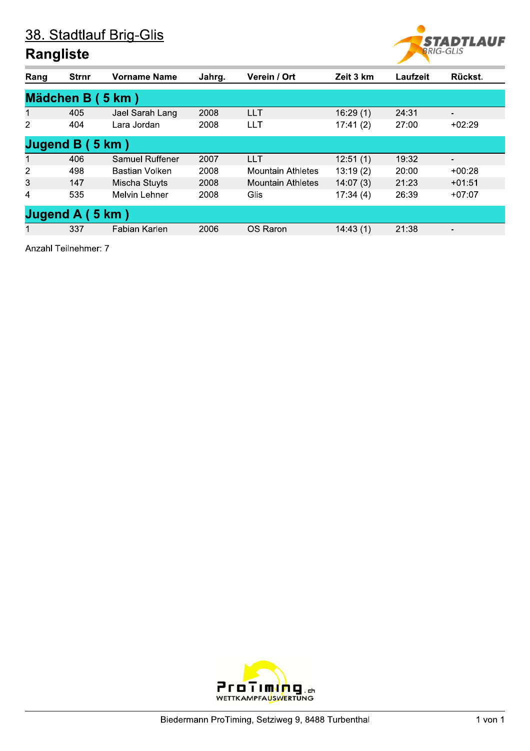#### **Rangliste**



| Rang | <b>Strnr</b>     | <b>Vorname Name</b>  | Jahrg. | Verein / Ort             | Zeit 3 km | Laufzeit | Rückst.                  |  |  |  |  |
|------|------------------|----------------------|--------|--------------------------|-----------|----------|--------------------------|--|--|--|--|
|      | Mädchen B (5 km) |                      |        |                          |           |          |                          |  |  |  |  |
| 1    | 405              | Jael Sarah Lang      | 2008   | <b>LLT</b>               | 16:29(1)  | 24:31    | $\overline{\phantom{a}}$ |  |  |  |  |
| 2    | 404              | Lara Jordan          | 2008   | <b>LLT</b>               | 17:41(2)  | 27:00    | $+02:29$                 |  |  |  |  |
|      | Jugend $B(5 km)$ |                      |        |                          |           |          |                          |  |  |  |  |
| 1    | 406              | Samuel Ruffener      | 2007   | <b>LLT</b>               | 12:51(1)  | 19:32    | $\overline{\phantom{a}}$ |  |  |  |  |
| 2    | 498              | Bastian Volken       | 2008   | <b>Mountain Athletes</b> | 13:19(2)  | 20:00    | $+00:28$                 |  |  |  |  |
| 3    | 147              | Mischa Stuyts        | 2008   | <b>Mountain Athletes</b> | 14:07(3)  | 21:23    | $+01:51$                 |  |  |  |  |
| 4    | 535              | <b>Melvin Lehner</b> | 2008   | Glis                     | 17:34(4)  | 26:39    | $+07:07$                 |  |  |  |  |
|      | Jugend A (5 km)  |                      |        |                          |           |          |                          |  |  |  |  |
|      | 337              | Fabian Karlen        | 2006   | OS Raron                 | 14:43(1)  | 21:38    | -                        |  |  |  |  |

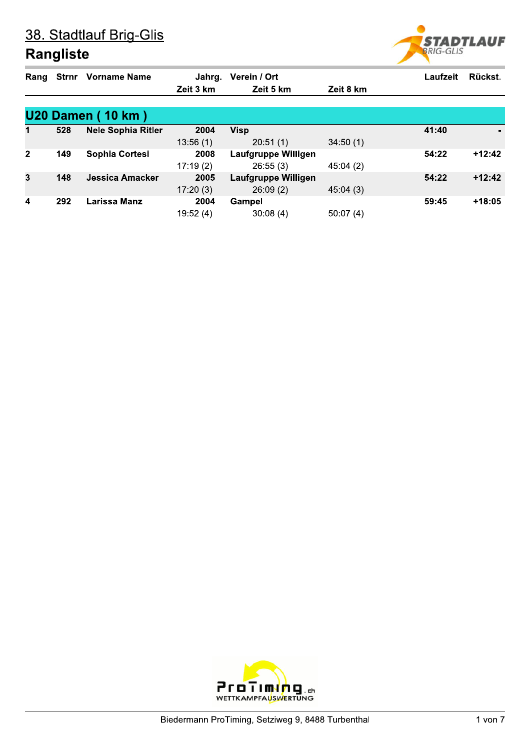

| Rang                    |     | <b>Strnr</b> Vorname Name | Jahrg.    | Verein / Ort        |           | Laufzeit | Rückst.  |
|-------------------------|-----|---------------------------|-----------|---------------------|-----------|----------|----------|
|                         |     |                           | Zeit 3 km | Zeit 5 km           | Zeit 8 km |          |          |
|                         |     |                           |           |                     |           |          |          |
|                         |     | <b>U20 Damen (10 km)</b>  |           |                     |           |          |          |
| 1                       | 528 | <b>Nele Sophia Ritler</b> | 2004      | <b>Visp</b>         |           | 41:40    | ۰.       |
|                         |     |                           | 13:56(1)  | 20:51(1)            | 34:50(1)  |          |          |
| $\overline{2}$          | 149 | Sophia Cortesi            | 2008      | Laufgruppe Willigen |           | 54:22    | $+12:42$ |
|                         |     |                           | 17:19(2)  | 26:55(3)            | 45:04(2)  |          |          |
| $\overline{3}$          | 148 | <b>Jessica Amacker</b>    | 2005      | Laufgruppe Willigen |           | 54:22    | $+12:42$ |
|                         |     |                           | 17:20(3)  | 26:09(2)            | 45:04(3)  |          |          |
| $\overline{\mathbf{4}}$ | 292 | Larissa Manz              | 2004      | Gampel              |           | 59:45    | $+18:05$ |
|                         |     |                           | 19:52(4)  | 30:08(4)            | 50:07(4)  |          |          |

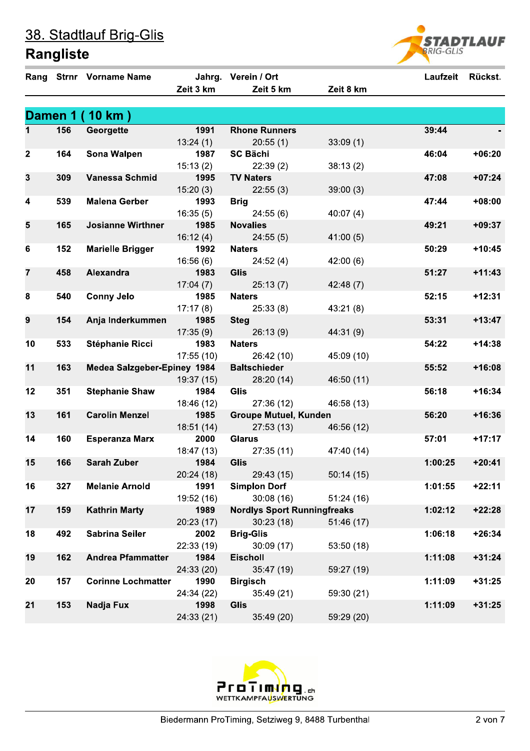|                |     | Rang Strnr Vorname Name     |                  | Jahrg. Verein / Ort                |            | Laufzeit Rückst. |          |
|----------------|-----|-----------------------------|------------------|------------------------------------|------------|------------------|----------|
|                |     |                             | Zeit 3 km        | Zeit 5 km                          | Zeit 8 km  |                  |          |
|                |     |                             |                  |                                    |            |                  |          |
|                |     | Damen 1 (10 km)             |                  |                                    |            |                  |          |
| 1              | 156 | Georgette                   | 1991             | <b>Rhone Runners</b>               |            | 39:44            |          |
|                |     |                             | 13:24(1)         | 20:55(1)                           | 33:09(1)   |                  |          |
| $\mathbf{2}$   | 164 | <b>Sona Walpen</b>          | 1987             | <b>SC Bächi</b>                    |            | 46:04            | $+06:20$ |
|                |     |                             | 15:13(2)         | 22:39(2)                           | 38:13(2)   |                  |          |
| 3              | 309 | Vanessa Schmid              | 1995             | <b>TV Naters</b>                   |            | 47:08            | $+07:24$ |
|                |     |                             | 15:20(3)         | 22:55(3)                           | 39:00(3)   |                  |          |
| 4              | 539 | <b>Malena Gerber</b>        | 1993             | <b>Brig</b>                        |            | 47:44            | $+08:00$ |
|                |     |                             | 16:35(5)         | 24:55(6)                           | 40:07(4)   |                  |          |
| 5              | 165 | <b>Josianne Wirthner</b>    | 1985             | <b>Novalies</b>                    |            | 49:21            | $+09:37$ |
|                |     |                             | 16:12(4)         | 24:55(5)                           | 41:00(5)   |                  |          |
| 6              | 152 | <b>Marielle Brigger</b>     | 1992             | <b>Naters</b>                      |            | 50:29            | $+10:45$ |
|                | 458 | Alexandra                   | 16:56(6)         | 24:52(4)                           | 42:00(6)   | 51:27            | $+11:43$ |
| $\overline{7}$ |     |                             | 1983             | Glis                               |            |                  |          |
| 8              | 540 | <b>Conny Jelo</b>           | 17:04(7)<br>1985 | 25:13(7)<br><b>Naters</b>          | 42:48 (7)  | 52:15            | $+12:31$ |
|                |     |                             | 17:17(8)         | 25:33(8)                           | 43:21(8)   |                  |          |
| 9              | 154 | Anja Inderkummen            | 1985             | <b>Steg</b>                        |            | 53:31            | $+13:47$ |
|                |     |                             | 17:35(9)         | 26:13(9)                           | 44:31(9)   |                  |          |
| 10             | 533 | <b>Stéphanie Ricci</b>      | 1983             | <b>Naters</b>                      |            | 54:22            | $+14:38$ |
|                |     |                             | 17:55(10)        | 26:42 (10)                         | 45:09 (10) |                  |          |
| 11             | 163 | Medea Salzgeber-Epiney 1984 |                  | <b>Baltschieder</b>                |            | 55:52            | $+16:08$ |
|                |     |                             | 19:37 (15)       | 28:20 (14)                         | 46:50 (11) |                  |          |
| 12             | 351 | <b>Stephanie Shaw</b>       | 1984             | <b>Glis</b>                        |            | 56:18            | $+16:34$ |
|                |     |                             | 18:46 (12)       | 27:36(12)                          | 46:58 (13) |                  |          |
| 13             | 161 | <b>Carolin Menzel</b>       | 1985             | <b>Groupe Mutuel, Kunden</b>       |            | 56:20            | $+16:36$ |
|                |     |                             | 18:51(14)        | 27:53(13)                          | 46:56 (12) |                  |          |
| 14             | 160 | <b>Esperanza Marx</b>       | 2000             | <b>Glarus</b>                      |            | 57:01            | $+17:17$ |
|                |     |                             | 18:47 (13)       | 27:35(11)                          | 47:40 (14) |                  |          |
| 15             | 166 | <b>Sarah Zuber</b>          | 1984             | <b>Glis</b>                        |            | 1:00:25          | $+20:41$ |
|                |     |                             | 20:24 (18)       | 29:43 (15)                         | 50:14(15)  |                  |          |
| 16             | 327 | <b>Melanie Arnold</b>       | 1991             | <b>Simplon Dorf</b>                |            | 1:01:55          | $+22:11$ |
|                |     |                             | 19:52 (16)       | 30:08(16)                          | 51:24(16)  |                  |          |
| 17             | 159 | <b>Kathrin Marty</b>        | 1989             | <b>Nordlys Sport Runningfreaks</b> |            | 1:02:12          | $+22:28$ |
|                |     |                             | 20:23 (17)       | 30:23(18)                          | 51:46 (17) |                  |          |
| 18             | 492 | <b>Sabrina Seiler</b>       | 2002             | <b>Brig-Glis</b>                   |            | 1:06:18          | $+26:34$ |
|                |     |                             | 22:33 (19)       | 30:09(17)                          | 53:50 (18) |                  |          |
| 19             | 162 | <b>Andrea Pfammatter</b>    | 1984             | <b>Eischoll</b>                    |            | 1:11:08          | $+31:24$ |
|                |     |                             | 24:33 (20)       | 35:47 (19)                         | 59:27 (19) |                  |          |
| 20             | 157 | <b>Corinne Lochmatter</b>   | 1990             | <b>Birgisch</b>                    |            | 1:11:09          | $+31:25$ |
|                |     |                             | 24:34 (22)       | 35:49(21)                          | 59:30 (21) |                  |          |
| 21             | 153 | Nadja Fux                   | 1998             | <b>Glis</b>                        |            | 1:11:09          | $+31:25$ |
|                |     |                             | 24:33(21)        | 35:49 (20)                         | 59:29 (20) |                  |          |



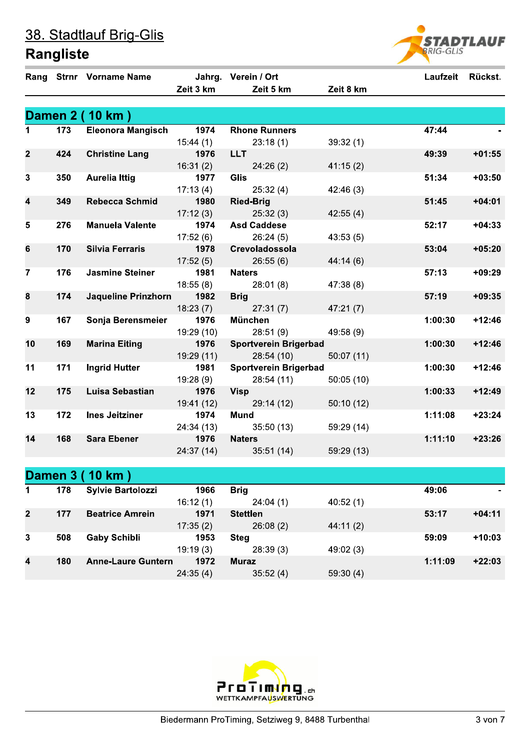|                         |                  | Rang Strnr Vorname Name    |                  | Jahrg. Verein / Ort          |                   | Laufzeit | <b>Rückst.</b> |
|-------------------------|------------------|----------------------------|------------------|------------------------------|-------------------|----------|----------------|
|                         |                  |                            | Zeit 3 km        | Zeit 5 km                    | Zeit 8 km         |          |                |
|                         |                  |                            |                  |                              |                   |          |                |
|                         |                  | Damen 2 (10 km)            |                  |                              |                   |          |                |
| 1                       | $\overline{173}$ | <b>Eleonora Mangisch</b>   | 1974             | <b>Rhone Runners</b>         |                   | 47:44    |                |
|                         |                  |                            | 15:44(1)         | 23:18(1)                     | 39:32(1)          |          |                |
| $\overline{2}$          | 424              | <b>Christine Lang</b>      | 1976             | <b>LLT</b>                   |                   | 49:39    | $+01:55$       |
|                         |                  |                            | 16:31(2)         | 24:26(2)                     | 41:15(2)          |          |                |
| $\mathbf{3}$            | 350              | <b>Aurelia Ittig</b>       | 1977             | <b>Glis</b>                  |                   | 51:34    | $+03:50$       |
|                         |                  |                            | 17:13(4)         | 25:32(4)                     | 42:46 (3)         |          |                |
| $\overline{\mathbf{4}}$ | 349              | <b>Rebecca Schmid</b>      | 1980             | <b>Ried-Brig</b>             |                   | 51:45    | $+04:01$       |
|                         |                  |                            | 17:12(3)         | 25:32(3)                     | 42:55(4)          |          |                |
| $5\phantom{1}$          | 276              | <b>Manuela Valente</b>     | 1974             | <b>Asd Caddese</b>           |                   | 52:17    | $+04:33$       |
|                         |                  |                            | 17:52(6)         | 26:24(5)                     | 43:53(5)          |          |                |
| $6\phantom{1}$          | 170              | <b>Silvia Ferraris</b>     | 1978             | Crevoladossola               |                   | 53:04    | $+05:20$       |
|                         |                  |                            | 17:52(5)         | 26:55(6)                     | 44:14(6)          |          |                |
| $\overline{7}$          | 176              | <b>Jasmine Steiner</b>     | 1981             | <b>Naters</b>                |                   | 57:13    | $+09:29$       |
|                         |                  |                            | 18:55(8)         | 28:01(8)                     | 47:38 (8)         |          |                |
| 8                       | 174              | <b>Jaqueline Prinzhorn</b> | 1982             | <b>Brig</b>                  |                   | 57:19    | $+09:35$       |
| 9                       | 167              |                            | 18:23(7)<br>1976 | 27:31(7)<br><b>München</b>   | 47:21(7)          | 1:00:30  | $+12:46$       |
|                         |                  | Sonja Berensmeier          | 19:29 (10)       | 28:51(9)                     | 49:58 (9)         |          |                |
| 10                      | 169              | <b>Marina Eiting</b>       | 1976             | <b>Sportverein Brigerbad</b> |                   | 1:00:30  | $+12:46$       |
|                         |                  |                            | 19:29 (11)       | 28:54(10)                    | 50:07(11)         |          |                |
| 11                      | 171              | <b>Ingrid Hutter</b>       | 1981             | <b>Sportverein Brigerbad</b> |                   | 1:00:30  | $+12:46$       |
|                         |                  |                            | 19:28(9)         | 28:54(11)                    | 50:05(10)         |          |                |
| 12                      | 175              | <b>Luisa Sebastian</b>     | 1976             | <b>Visp</b>                  |                   | 1:00:33  | $+12:49$       |
|                         |                  |                            | 19:41 (12)       | 29:14 (12)                   | 50:10(12)         |          |                |
| 13                      | 172              | <b>Ines Jeitziner</b>      | 1974             | <b>Mund</b>                  |                   | 1:11:08  | $+23:24$       |
|                         |                  |                            | 24:34 (13)       | 35:50(13)                    | 59:29 (14)        |          |                |
| 14                      | 168              | <b>Sara Ebener</b>         | 1976             | <b>Naters</b>                |                   | 1:11:10  | $+23:26$       |
|                         |                  |                            | 24:37 (14)       | 35:51(14)                    | 59:29 (13)        |          |                |
|                         |                  |                            |                  |                              |                   |          |                |
|                         |                  | Damen 3 (10 km)            |                  |                              |                   |          |                |
| 1                       | 178              | <b>Sylvie Bartolozzi</b>   | 1966             | <b>Brig</b>                  |                   | 49:06    |                |
|                         |                  |                            | 16.12(1)         | 24.04(1)                     | $A \cap B \cap A$ |          |                |

| 1              | 178 | <b>Sylvie Bartolozzi</b>  | 1966     | <b>Brig</b>     |          | 49:06   | ۰        |
|----------------|-----|---------------------------|----------|-----------------|----------|---------|----------|
|                |     |                           | 16:12(1) | 24:04(1)        | 40:52(1) |         |          |
| $\overline{2}$ | 177 | <b>Beatrice Amrein</b>    | 1971     | <b>Stettlen</b> |          | 53:17   | $+04:11$ |
|                |     |                           | 17:35(2) | 26:08(2)        | 44:11(2) |         |          |
| 3              | 508 | <b>Gaby Schibli</b>       | 1953     | <b>Steg</b>     |          | 59:09   | $+10:03$ |
|                |     |                           | 19:19(3) | 28:39(3)        | 49:02(3) |         |          |
| 4              | 180 | <b>Anne-Laure Guntern</b> | 1972     | <b>Muraz</b>    |          | 1:11:09 | $+22:03$ |
|                |     |                           | 24:35(4) | 35:52(4)        | 59:30(4) |         |          |



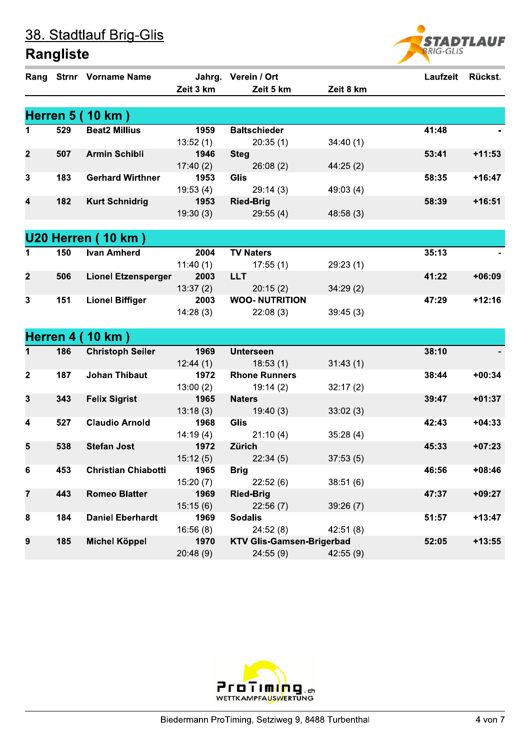

|                |     | Rang Strnr Vorname Name    |                  | Jahrg. Verein / Ort              |           | Laufzeit Rückst. |          |
|----------------|-----|----------------------------|------------------|----------------------------------|-----------|------------------|----------|
|                |     |                            | Zeit 3 km        | Zeit 5 km                        | Zeit 8 km |                  |          |
|                |     |                            |                  |                                  |           |                  |          |
|                |     | <b>Herren 5 (10 km)</b>    |                  |                                  |           |                  |          |
| 1              | 529 | <b>Beat2 Millius</b>       | 1959             | <b>Baltschieder</b>              |           | 41:48            |          |
|                |     |                            | 13:52(1)         | 20:35(1)                         | 34:40(1)  |                  |          |
| $\mathbf{2}$   | 507 | <b>Armin Schibli</b>       | 1946             | <b>Steg</b>                      |           | 53:41            | $+11:53$ |
|                |     |                            | 17:40(2)         | 26:08(2)                         | 44:25(2)  |                  |          |
| 3              | 183 | <b>Gerhard Wirthner</b>    | 1953             | Glis                             |           | 58:35            | $+16:47$ |
|                |     |                            | 19:53(4)         | 29:14(3)                         | 49:03 (4) |                  |          |
| 4              | 182 | <b>Kurt Schnidrig</b>      | 1953             | <b>Ried-Brig</b>                 |           | 58:39            | $+16:51$ |
|                |     |                            | 19:30(3)         | 29:55(4)                         | 48:58(3)  |                  |          |
|                |     |                            |                  |                                  |           |                  |          |
|                |     | <b>U20 Herren (10 km)</b>  |                  |                                  |           |                  |          |
| 1              | 150 | <b>Ivan Amherd</b>         | 2004             | <b>TV Naters</b>                 |           | 35:13            |          |
|                |     |                            | 11:40(1)         | 17:55(1)                         | 29:23(1)  |                  |          |
| $\overline{2}$ | 506 | <b>Lionel Etzensperger</b> | 2003             | <b>LLT</b>                       |           | 41:22            | $+06:09$ |
|                |     |                            | 13:37(2)         | 20:15(2)                         | 34:29(2)  |                  |          |
| 3              | 151 | <b>Lionel Biffiger</b>     | 2003             | <b>WOO- NUTRITION</b>            |           | 47:29            | $+12:16$ |
|                |     |                            | 14:28(3)         | 22:08(3)                         | 39:45(3)  |                  |          |
|                |     |                            |                  |                                  |           |                  |          |
|                |     | <b>Herren 4 (10 km)</b>    |                  |                                  |           |                  |          |
| 1              | 186 | <b>Christoph Seiler</b>    | 1969             | <b>Unterseen</b>                 |           | 38:10            |          |
|                |     |                            | 12:44(1)         | 18:53(1)                         | 31:43(1)  |                  |          |
| $\mathbf{2}$   | 187 | <b>Johan Thibaut</b>       | 1972             | <b>Rhone Runners</b>             |           | 38:44            | $+00:34$ |
|                |     |                            | 13:00(2)         | 19:14(2)                         | 32:17(2)  |                  |          |
| $\mathbf{3}$   | 343 | <b>Felix Sigrist</b>       | 1965             | <b>Naters</b>                    |           | 39:47            | $+01:37$ |
|                |     |                            | 13:18(3)         | 19:40(3)                         | 33:02(3)  |                  |          |
| 4              | 527 | <b>Claudio Arnold</b>      | 1968             | Glis                             |           | 42:43            | $+04:33$ |
|                |     |                            | 14:19(4)         | 21:10(4)                         | 35:28(4)  |                  |          |
| 5              | 538 | <b>Stefan Jost</b>         | 1972             | Zürich                           |           | 45:33            | $+07:23$ |
|                |     |                            | 15:12(5)         | 22:34(5)                         | 37:53(5)  |                  |          |
| 6              | 453 | <b>Christian Chiabotti</b> | 1965             | Brig                             |           | 46:56            | $+08:46$ |
|                |     |                            | 15:20(7)         | 22:52(6)                         | 38:51(6)  |                  |          |
| $\overline{7}$ | 443 | <b>Romeo Blatter</b>       | 1969             | <b>Ried-Brig</b>                 |           | 47:37            | $+09:27$ |
| 8              | 184 | <b>Daniel Eberhardt</b>    | 15:15(6)<br>1969 | 22:56(7)<br><b>Sodalis</b>       | 39:26(7)  | 51:57            | $+13:47$ |
|                |     |                            | 16:56(8)         | 24:52(8)                         | 42:51(8)  |                  |          |
| 9              | 185 | <b>Michel Köppel</b>       | 1970             | <b>KTV Glis-Gamsen-Brigerbad</b> |           | 52:05            | $+13:55$ |
|                |     |                            | 20:48(9)         | 24:55(9)                         | 42:55 (9) |                  |          |
|                |     |                            |                  |                                  |           |                  |          |

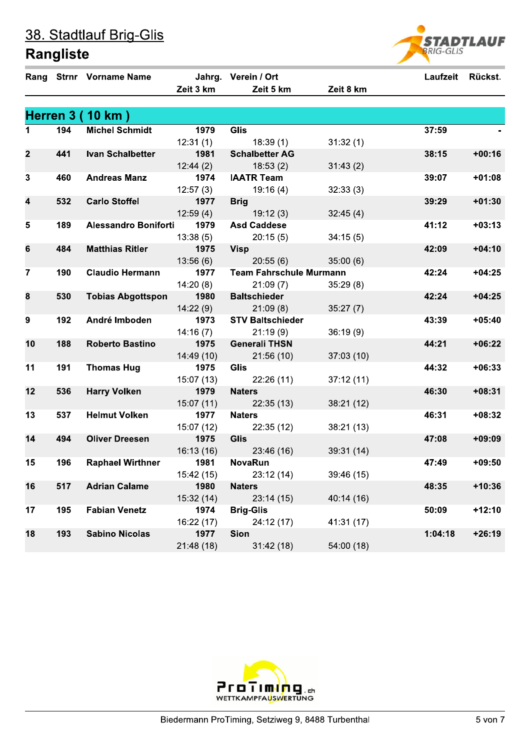

|                 |     | Rang Strnr Vorname Name     |            | Jahrg. Verein / Ort            |            | Laufzeit | Rückst.  |
|-----------------|-----|-----------------------------|------------|--------------------------------|------------|----------|----------|
|                 |     |                             | Zeit 3 km  | Zeit 5 km                      | Zeit 8 km  |          |          |
|                 |     |                             |            |                                |            |          |          |
|                 |     | <b>Herren 3 (10 km)</b>     |            |                                |            |          |          |
| $\mathbf 1$     | 194 | <b>Michel Schmidt</b>       | 1979       | <b>Glis</b>                    |            | 37:59    |          |
|                 |     |                             | 12:31(1)   | 18:39(1)                       | 31:32(1)   |          |          |
| $\mathbf{2}$    | 441 | <b>Ivan Schalbetter</b>     | 1981       | <b>Schalbetter AG</b>          |            | 38:15    | $+00:16$ |
|                 |     |                             | 12:44(2)   | 18:53(2)                       | 31:43(2)   |          |          |
| $\mathbf{3}$    | 460 | <b>Andreas Manz</b>         | 1974       | <b>IAATR Team</b>              |            | 39:07    | $+01:08$ |
|                 |     |                             | 12:57(3)   | 19:16(4)                       | 32:33(3)   |          |          |
| 4               | 532 | <b>Carlo Stoffel</b>        | 1977       | <b>Brig</b>                    |            | 39:29    | $+01:30$ |
|                 |     |                             | 12:59(4)   | 19:12(3)                       | 32:45(4)   |          |          |
| 5               | 189 | <b>Alessandro Boniforti</b> | 1979       | <b>Asd Caddese</b>             |            | 41:12    | $+03:13$ |
|                 |     |                             | 13:38(5)   | 20:15(5)                       | 34:15(5)   |          |          |
| $6\phantom{1}6$ | 484 | <b>Matthias Ritler</b>      | 1975       | <b>Visp</b>                    |            | 42:09    | $+04:10$ |
|                 |     |                             | 13:56(6)   | 20:55(6)                       | 35:00(6)   |          |          |
| $\mathbf{7}$    | 190 | <b>Claudio Hermann</b>      | 1977       | <b>Team Fahrschule Murmann</b> |            | 42:24    | $+04:25$ |
|                 |     |                             | 14:20(8)   | 21:09(7)                       | 35:29(8)   |          |          |
| 8               | 530 | <b>Tobias Abgottspon</b>    | 1980       | <b>Baltschieder</b>            |            | 42:24    | $+04:25$ |
|                 |     |                             | 14:22(9)   | 21:09(8)                       | 35:27(7)   |          |          |
| 9               | 192 | André Imboden               | 1973       | <b>STV Baltschieder</b>        |            | 43:39    | $+05:40$ |
|                 |     |                             | 14:16(7)   | 21:19(9)                       | 36:19(9)   |          |          |
| 10              | 188 | <b>Roberto Bastino</b>      | 1975       | <b>Generali THSN</b>           |            | 44:21    | $+06:22$ |
|                 |     |                             | 14:49 (10) | 21:56(10)                      | 37:03(10)  |          |          |
| 11              | 191 | <b>Thomas Hug</b>           | 1975       | Glis                           |            | 44:32    | $+06:33$ |
|                 |     |                             | 15:07(13)  | 22:26(11)                      | 37:12(11)  |          |          |
| 12              | 536 | <b>Harry Volken</b>         | 1979       | <b>Naters</b>                  |            | 46:30    | $+08:31$ |
|                 |     |                             | 15:07(11)  | 22:35(13)                      | 38:21(12)  |          |          |
| 13              | 537 | <b>Helmut Volken</b>        | 1977       | <b>Naters</b>                  |            | 46:31    | $+08:32$ |
|                 |     |                             | 15:07 (12) | 22:35(12)                      | 38:21(13)  |          |          |
| 14              | 494 | <b>Oliver Dreesen</b>       | 1975       | <b>Glis</b>                    |            | 47:08    | $+09:09$ |
|                 |     |                             | 16:13(16)  | 23:46 (16)                     | 39:31(14)  |          |          |
| 15              | 196 | <b>Raphael Wirthner</b>     | 1981       | <b>NovaRun</b>                 |            | 47:49    | $+09:50$ |
|                 |     |                             | 15:42 (15) | 23:12 (14)                     | 39:46 (15) |          |          |
| 16              | 517 | <b>Adrian Calame</b>        | 1980       | <b>Naters</b>                  |            | 48:35    | $+10:36$ |
|                 |     |                             | 15:32(14)  | 23:14(15)                      | 40:14 (16) |          |          |
| 17              | 195 | <b>Fabian Venetz</b>        | 1974       | <b>Brig-Glis</b>               |            | 50:09    | $+12:10$ |
|                 |     |                             | 16:22 (17) | 24:12 (17)                     | 41:31 (17) |          |          |
| 18              | 193 | <b>Sabino Nicolas</b>       | 1977       | Sion                           |            | 1:04:18  | $+26:19$ |
|                 |     |                             | 21:48 (18) | 31:42(18)                      | 54:00 (18) |          |          |

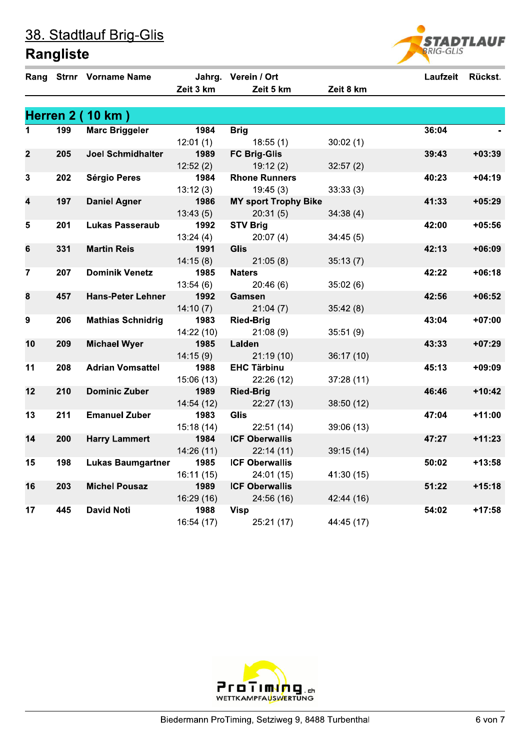|  | 38. Stadtlauf Brig-Glis |  |
|--|-------------------------|--|
|--|-------------------------|--|



|                 |     | Rang Strnr Vorname Name  | Zeit 3 km  | Jahrg. Verein / Ort<br>Zeit 5 km | Zeit 8 km  | Laufzeit | Rückst.  |
|-----------------|-----|--------------------------|------------|----------------------------------|------------|----------|----------|
|                 |     | <b>Herren 2 (10 km)</b>  |            |                                  |            |          |          |
| 1.              | 199 | <b>Marc Briggeler</b>    | 1984       | <b>Brig</b>                      |            | 36:04    |          |
|                 |     |                          | 12:01(1)   | 18:55(1)                         | 30:02(1)   |          |          |
| $\mathbf{2}$    | 205 | <b>Joel Schmidhalter</b> | 1989       | <b>FC Brig-Glis</b>              |            | 39:43    | $+03:39$ |
|                 |     |                          | 12:52(2)   | 19:12(2)                         | 32:57(2)   |          |          |
| 3               | 202 | <b>Sérgio Peres</b>      | 1984       | <b>Rhone Runners</b>             |            | 40:23    | $+04:19$ |
|                 |     |                          | 13:12(3)   | 19:45(3)                         | 33:33(3)   |          |          |
| 4               | 197 | <b>Daniel Agner</b>      | 1986       | <b>MY sport Trophy Bike</b>      |            | 41:33    | $+05:29$ |
|                 |     |                          | 13:43(5)   | 20:31(5)                         | 34:38(4)   |          |          |
| $5\phantom{.0}$ | 201 | <b>Lukas Passeraub</b>   | 1992       | <b>STV Brig</b>                  |            | 42:00    | $+05:56$ |
|                 |     |                          | 13:24(4)   | 20:07(4)                         | 34:45(5)   |          |          |
| 6               | 331 | <b>Martin Reis</b>       | 1991       | <b>Glis</b>                      |            | 42:13    | $+06:09$ |
|                 |     |                          | 14:15(8)   | 21:05(8)                         | 35:13(7)   |          |          |
| $\overline{7}$  | 207 | <b>Dominik Venetz</b>    | 1985       | <b>Naters</b>                    |            | 42:22    | $+06:18$ |
|                 |     |                          | 13:54(6)   | 20:46(6)                         | 35:02(6)   |          |          |
| 8               | 457 | <b>Hans-Peter Lehner</b> | 1992       | Gamsen                           |            | 42:56    | $+06:52$ |
|                 |     |                          | 14:10(7)   | 21:04(7)                         | 35:42(8)   |          |          |
| 9               | 206 | <b>Mathias Schnidrig</b> | 1983       | <b>Ried-Brig</b>                 |            | 43:04    | $+07:00$ |
|                 |     |                          | 14:22(10)  | 21:08(9)                         | 35:51(9)   |          |          |
| 10              | 209 | <b>Michael Wyer</b>      | 1985       | Lalden                           |            | 43:33    | $+07:29$ |
|                 |     |                          | 14:15(9)   | 21:19(10)                        | 36:17(10)  |          |          |
| 11              | 208 | <b>Adrian Vomsattel</b>  | 1988       | <b>EHC Tärbinu</b>               |            | 45:13    | $+09:09$ |
|                 |     |                          | 15:06(13)  | 22:26(12)                        | 37:28(11)  |          |          |
| 12              | 210 | <b>Dominic Zuber</b>     | 1989       | <b>Ried-Brig</b>                 |            | 46:46    | $+10:42$ |
|                 |     |                          | 14:54(12)  | 22:27(13)                        | 38:50 (12) |          |          |
| 13              | 211 | <b>Emanuel Zuber</b>     | 1983       | <b>Glis</b>                      |            | 47:04    | $+11:00$ |
|                 |     |                          | 15:18(14)  | 22:51(14)                        | 39:06 (13) |          |          |
| 14              | 200 | <b>Harry Lammert</b>     | 1984       | <b>ICF Oberwallis</b>            |            | 47:27    | $+11:23$ |
|                 |     |                          | 14:26(11)  | 22:14(11)                        | 39:15(14)  |          |          |
| 15              | 198 | <b>Lukas Baumgartner</b> | 1985       | <b>ICF Oberwallis</b>            |            | 50:02    | $+13:58$ |
|                 |     |                          | 16:11(15)  | 24:01 (15)                       | 41:30 (15) |          |          |
| 16              | 203 | <b>Michel Pousaz</b>     | 1989       | <b>ICF Oberwallis</b>            |            | 51:22    | $+15:18$ |
|                 |     |                          | 16:29 (16) | 24:56 (16)                       | 42:44 (16) |          |          |
| 17              | 445 | <b>David Noti</b>        | 1988       | <b>Visp</b>                      |            | 54:02    | $+17:58$ |
|                 |     |                          | 16:54 (17) | 25:21 (17)                       | 44:45 (17) |          |          |

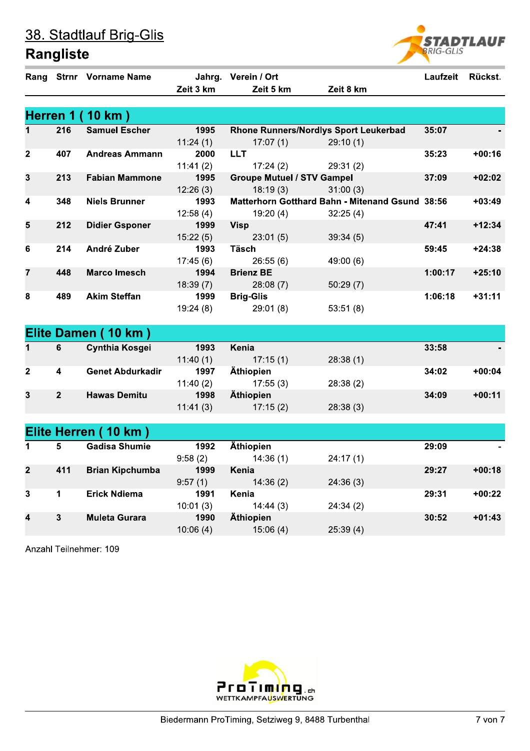|  | 38. Stadtlauf Brig-Glis |  |
|--|-------------------------|--|
|--|-------------------------|--|

## **Rangliste**

|                |                | Rang Strnr Vorname Name |           | Jahrg. Verein / Ort               |                                                        | Laufzeit | Rückst.  |
|----------------|----------------|-------------------------|-----------|-----------------------------------|--------------------------------------------------------|----------|----------|
|                |                |                         | Zeit 3 km | Zeit 5 km                         | Zeit 8 km                                              |          |          |
|                |                |                         |           |                                   |                                                        |          |          |
|                |                | <b>Herren 1 (10 km)</b> |           |                                   |                                                        |          |          |
|                | 216            | <b>Samuel Escher</b>    | 1995      |                                   | <b>Rhone Runners/Nordlys Sport Leukerbad</b>           | 35:07    |          |
|                |                |                         | 11:24(1)  | 17:07(1)                          | 29:10(1)                                               |          |          |
| $\mathbf{2}$   | 407            | <b>Andreas Ammann</b>   | 2000      | <b>LLT</b>                        |                                                        | 35:23    | $+00:16$ |
|                |                |                         | 11:41(2)  | 17:24(2)                          | 29:31(2)                                               |          |          |
| 3              | 213            | <b>Fabian Mammone</b>   | 1995      | <b>Groupe Mutuel / STV Gampel</b> |                                                        | 37:09    | $+02:02$ |
|                |                |                         | 12:26(3)  | 18:19(3)                          | 31:00(3)                                               |          |          |
| 4              | 348            | <b>Niels Brunner</b>    | 1993      |                                   | <b>Matterhorn Gotthard Bahn - Mitenand Gsund 38:56</b> |          | $+03:49$ |
|                |                |                         | 12:58(4)  | 19:20(4)                          | 32:25(4)                                               |          |          |
| 5              | 212            | <b>Didier Gsponer</b>   | 1999      | <b>Visp</b>                       |                                                        | 47:41    | $+12:34$ |
|                |                |                         | 15:22(5)  | 23:01(5)                          | 39:34(5)                                               |          |          |
| 6              | 214            | André Zuber             | 1993      | Täsch                             |                                                        | 59:45    | $+24:38$ |
|                |                |                         | 17:45(6)  | 26:55(6)                          | 49:00 (6)                                              |          |          |
| $\overline{7}$ | 448            | <b>Marco Imesch</b>     | 1994      | <b>Brienz BE</b>                  |                                                        | 1:00:17  | $+25:10$ |
|                |                |                         | 18:39(7)  | 28:08(7)                          | 50:29(7)                                               |          |          |
| 8              | 489            | <b>Akim Steffan</b>     | 1999      | <b>Brig-Glis</b>                  |                                                        | 1:06:18  | $+31:11$ |
|                |                |                         | 19:24(8)  | 29:01(8)                          | 53:51(8)                                               |          |          |
|                |                |                         |           |                                   |                                                        |          |          |
|                |                | Elite Damen (10 km)     |           |                                   |                                                        |          |          |
| $\mathbf{1}$   | 6              | <b>Cynthia Kosgei</b>   | 1993      | Kenia                             |                                                        | 33:58    |          |
|                |                |                         | 11:40(1)  | 17:15(1)                          | 28:38(1)                                               |          |          |
| $\mathbf{2}$   | 4              | <b>Genet Abdurkadir</b> | 1997      | Äthiopien                         |                                                        | 34:02    | $+00:04$ |
|                |                |                         | 11:40(2)  | 17:55(3)                          | 28:38(2)                                               |          |          |
| $\mathbf{3}$   | $\overline{2}$ | <b>Hawas Demitu</b>     | 1998      | Äthiopien                         |                                                        | 34:09    | $+00:11$ |
|                |                |                         | 11:41(3)  | 17:15(2)                          | 28:38(3)                                               |          |          |
|                |                |                         |           |                                   |                                                        |          |          |
|                |                | Elite Herren (10 km)    |           |                                   |                                                        |          |          |
| $\mathbf 1$    | 5              | <b>Gadisa Shumie</b>    | 1992      | Äthiopien                         |                                                        | 29:09    |          |
|                |                |                         | 9:58(2)   | 14:36(1)                          | 24:17(1)                                               |          |          |
| 2 <sub>2</sub> | 411            | <b>Brian Kipchumba</b>  | 1999      | Kenia                             |                                                        | 29:27    | $+00:18$ |
|                |                |                         | 9:57(1)   | 14:36(2)                          | 24:36(3)                                               |          |          |
| $\mathbf{3}$   | $\mathbf 1$    | <b>Erick Ndiema</b>     | 1991      | Kenia                             |                                                        | 29:31    | $+00:22$ |
|                |                |                         | 10:01(3)  | 14:44(3)                          | 24:34(2)                                               |          |          |
| 4              | $\mathbf{3}$   | <b>Muleta Gurara</b>    | 1990      | Äthiopien                         |                                                        | 30:52    | $+01:43$ |
|                |                |                         | 10:06(4)  | 15:06(4)                          | 25:39(4)                                               |          |          |
|                |                |                         |           |                                   |                                                        |          |          |

Anzahl Teilnehmer: 109



**STADTLAUF**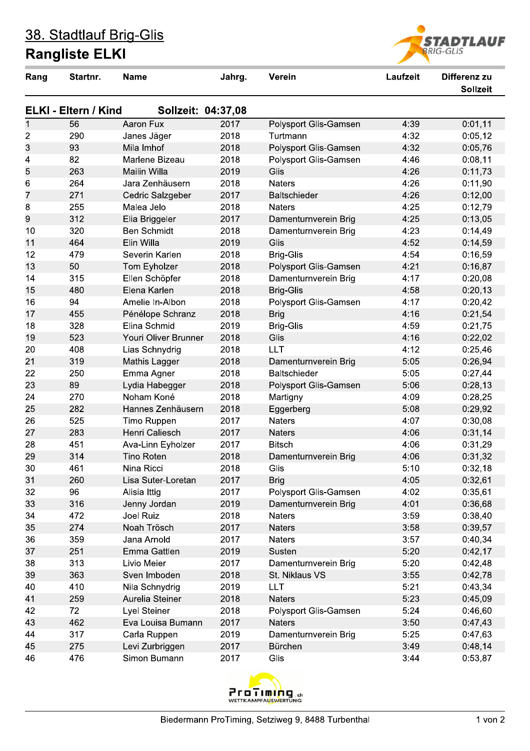## **Rangliste ELKI**



| Rang           | Startnr.                    | <b>Name</b>          | Jahrg. | Verein                | Laufzeit | Differenz zu<br><b>Sollzeit</b> |
|----------------|-----------------------------|----------------------|--------|-----------------------|----------|---------------------------------|
|                | <b>ELKI - Eltern / Kind</b> | Sollzeit: 04:37,08   |        |                       |          |                                 |
| $\mathbf{1}$   | 56                          | Aaron Fux            | 2017   | Polysport Glis-Gamsen | 4:39     | 0:01,11                         |
| $\overline{c}$ | 290                         | Janes Jäger          | 2018   | Turtmann              | 4:32     | 0:05,12                         |
| 3              | 93                          | Mila Imhof           | 2018   | Polysport Glis-Gamsen | 4:32     | 0:05,76                         |
| 4              | 82                          | Marlene Bizeau       | 2018   | Polysport Glis-Gamsen | 4:46     | 0:08,11                         |
| 5              | 263                         | <b>Mailin Willa</b>  | 2019   | Glis                  | 4:26     | 0:11,73                         |
| 6              | 264                         | Jara Zenhäusern      | 2018   | <b>Naters</b>         | 4:26     | 0:11,90                         |
| 7              | 271                         | Cedric Salzgeber     | 2017   | Baltschieder          | 4:26     | 0:12,00                         |
| 8              | 255                         | Malea Jelo           | 2018   | <b>Naters</b>         | 4:25     | 0:12,79                         |
| 9              | 312                         | Elia Briggeler       | 2017   | Damenturnverein Brig  | 4:25     | 0:13,05                         |
| 10             | 320                         | <b>Ben Schmidt</b>   | 2018   | Damenturnverein Brig  | 4:23     | 0:14,49                         |
| 11             | 464                         | Elin Willa           | 2019   | Glis                  | 4:52     | 0:14,59                         |
| 12             | 479                         | Severin Karlen       | 2018   | Brig-Glis             | 4:54     | 0:16,59                         |
| 13             | 50                          | Tom Eyholzer         | 2018   | Polysport Glis-Gamsen | 4:21     | 0:16,87                         |
| 14             | 315                         | Ellen Schöpfer       | 2018   | Damenturnverein Brig  | 4:17     | 0:20,08                         |
| 15             | 480                         | Elena Karlen         | 2018   | <b>Brig-Glis</b>      | 4:58     | 0:20,13                         |
| 16             | 94                          | Amelie In-Albon      | 2018   | Polysport Glis-Gamsen | 4:17     | 0:20,42                         |
| 17             | 455                         | Pénélope Schranz     | 2018   | <b>Brig</b>           | 4:16     | 0:21,54                         |
| 18             | 328                         | Elina Schmid         | 2019   | <b>Brig-Glis</b>      | 4:59     | 0:21,75                         |
| 19             | 523                         | Youri Oliver Brunner | 2018   | Glis                  | 4:16     | 0:22,02                         |
| 20             | 408                         | Lias Schnydrig       | 2018   | LLT                   | 4:12     | 0:25,46                         |
| 21             | 319                         | Mathis Lagger        | 2018   | Damenturnverein Brig  | 5:05     | 0:26,94                         |
| 22             | 250                         | Emma Agner           | 2018   | <b>Baltschieder</b>   | 5:05     | 0:27,44                         |
| 23             | 89                          | Lydia Habegger       | 2018   | Polysport Glis-Gamsen | 5:06     | 0:28,13                         |
| 24             | 270                         | Noham Koné           | 2018   | Martigny              | 4:09     | 0:28,25                         |
| 25             | 282                         | Hannes Zenhäusern    | 2018   | Eggerberg             | 5:08     | 0:29,92                         |
| 26             | 525                         | Timo Ruppen          | 2017   | <b>Naters</b>         | 4:07     | 0:30,08                         |
| 27             | 283                         | Henri Caliesch       | 2017   | <b>Naters</b>         | 4:06     | 0:31,14                         |
| 28             | 451                         | Ava-Linn Eyholzer    | 2017   | <b>Bitsch</b>         | 4:06     | 0:31,29                         |
| 29             | 314                         | <b>Tino Roten</b>    | 2018   | Damenturnverein Brig  | 4:06     | 0:31,32                         |
| 30             | 461                         | Nina Ricci           | 2018   | Glis                  | 5:10     | 0:32,18                         |
| 31             | 260                         | Lisa Suter-Loretan   | 2017   | <b>Brig</b>           | 4:05     | 0:32,61                         |
| 32             | 96                          | Alisia Ittig         | 2017   | Polysport Glis-Gamsen | 4:02     | 0:35,61                         |
| 33             | 316                         | Jenny Jordan         | 2019   | Damenturnverein Brig  | 4:01     | 0:36,68                         |
| 34             | 472                         | Joel Ruiz            | 2018   | <b>Naters</b>         | 3:59     | 0:38,40                         |
| 35             | 274                         | Noah Trösch          | 2017   | <b>Naters</b>         | 3:58     | 0:39,57                         |
| 36             | 359                         | Jana Arnold          | 2017   | <b>Naters</b>         | 3:57     | 0:40,34                         |
| 37             | 251                         | Emma Gattlen         | 2019   | Susten                | 5:20     | 0:42,17                         |
| 38             | 313                         | Livio Meier          | 2017   | Damenturnverein Brig  | 5:20     | 0:42,48                         |
| 39             | 363                         | Sven Imboden         | 2018   | St. Niklaus VS        | 3:55     | 0:42,78                         |
| 40             | 410                         | Nila Schnydrig       | 2019   | LLT                   | 5:21     | 0:43,34                         |
| 41             | 259                         | Aurelia Steiner      | 2018   | <b>Naters</b>         | 5:23     | 0:45,09                         |
| 42             | 72                          | Lyel Steiner         | 2018   | Polysport Glis-Gamsen | 5:24     | 0:46,60                         |
| 43             | 462                         | Eva Louisa Bumann    | 2017   | <b>Naters</b>         | 3:50     | 0:47,43                         |
| 44             | 317                         | Carla Ruppen         | 2019   | Damenturnverein Brig  | 5:25     | 0:47,63                         |
| 45             | 275                         | Levi Zurbriggen      | 2017   | Bürchen               | 3:49     | 0:48,14                         |
| 46             | 476                         | Simon Bumann         | 2017   | Glis                  | 3:44     | 0:53.87                         |

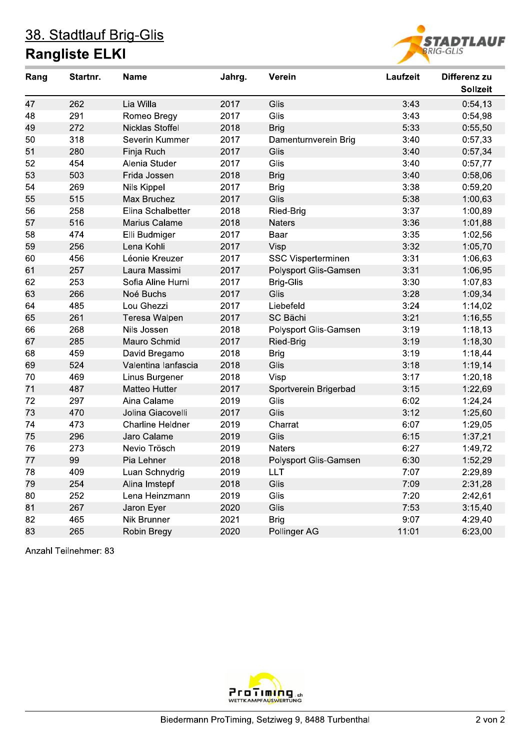### 38. Stadtlauf Brig-Glis **Rangliste ELKI**



| Rang | Startnr. | <b>Name</b>             | Jahrg. | Verein                | Laufzeit | Differenz zu    |
|------|----------|-------------------------|--------|-----------------------|----------|-----------------|
|      |          |                         |        |                       |          | <b>Sollzeit</b> |
| 47   | 262      | Lia Willa               | 2017   | Glis                  | 3:43     | 0:54,13         |
| 48   | 291      | Romeo Bregy             | 2017   | Glis                  | 3:43     | 0:54,98         |
| 49   | 272      | Nicklas Stoffel         | 2018   | <b>Brig</b>           | 5:33     | 0:55,50         |
| 50   | 318      | Severin Kummer          | 2017   | Damenturnverein Brig  | 3:40     | 0:57,33         |
| 51   | 280      | Finja Ruch              | 2017   | Glis                  | 3:40     | 0:57,34         |
| 52   | 454      | Alenia Studer           | 2017   | Glis                  | 3:40     | 0:57,77         |
| 53   | 503      | Frida Jossen            | 2018   | <b>Brig</b>           | 3:40     | 0:58,06         |
| 54   | 269      | <b>Nils Kippel</b>      | 2017   | <b>Brig</b>           | 3:38     | 0:59,20         |
| 55   | 515      | Max Bruchez             | 2017   | Glis                  | 5:38     | 1:00,63         |
| 56   | 258      | Elina Schalbetter       | 2018   | Ried-Brig             | 3:37     | 1:00,89         |
| 57   | 516      | Marius Calame           | 2018   | Naters                | 3:36     | 1:01,88         |
| 58   | 474      | Elli Budmiger           | 2017   | Baar                  | 3:35     | 1:02,56         |
| 59   | 256      | Lena Kohli              | 2017   | Visp                  | 3:32     | 1:05,70         |
| 60   | 456      | Léonie Kreuzer          | 2017   | SSC Visperterminen    | 3:31     | 1:06,63         |
| 61   | 257      | Laura Massimi           | 2017   | Polysport Glis-Gamsen | 3:31     | 1:06,95         |
| 62   | 253      | Sofia Aline Hurni       | 2017   | <b>Brig-Glis</b>      | 3:30     | 1:07,83         |
| 63   | 266      | Noé Buchs               | 2017   | Glis                  | 3:28     | 1:09,34         |
| 64   | 485      | Lou Ghezzi              | 2017   | Liebefeld             | 3:24     | 1:14,02         |
| 65   | 261      | Teresa Walpen           | 2017   | SC Bächi              | 3:21     | 1:16,55         |
| 66   | 268      | Nils Jossen             | 2018   | Polysport Glis-Gamsen | 3:19     | 1:18,13         |
| 67   | 285      | Mauro Schmid            | 2017   | Ried-Brig             | 3:19     | 1:18,30         |
| 68   | 459      | David Bregamo           | 2018   | <b>Brig</b>           | 3:19     | 1:18,44         |
| 69   | 524      | Valentina lanfascia     | 2018   | Glis                  | 3:18     | 1:19,14         |
| 70   | 469      | Linus Burgener          | 2018   | Visp                  | 3:17     | 1:20,18         |
| 71   | 487      | Matteo Hutter           | 2017   | Sportverein Brigerbad | 3:15     | 1:22,69         |
| 72   | 297      | Aina Calame             | 2019   | Glis                  | 6:02     | 1:24,24         |
| 73   | 470      | Jolina Giacovelli       | 2017   | Glis                  | 3:12     | 1:25,60         |
| 74   | 473      | <b>Charline Heldner</b> | 2019   | Charrat               | 6:07     | 1:29,05         |
| 75   | 296      | Jaro Calame             | 2019   | Glis                  | 6:15     | 1:37,21         |
| 76   | 273      | Nevio Trösch            | 2019   | <b>Naters</b>         | 6:27     | 1:49,72         |
| 77   | 99       | Pia Lehner              | 2018   | Polysport Glis-Gamsen | 6:30     | 1:52,29         |
| 78   | 409      | Luan Schnydrig          | 2019   | LLT                   | 7:07     | 2:29,89         |
| 79   | 254      | Alina Imstepf           | 2018   | Glis                  | 7:09     | 2:31,28         |
| 80   | 252      | Lena Heinzmann          | 2019   | Glis                  | 7:20     | 2:42,61         |
| 81   | 267      | Jaron Eyer              | 2020   | Glis                  | 7:53     | 3:15,40         |
| 82   | 465      | Nik Brunner             | 2021   | <b>Brig</b>           | 9:07     | 4:29,40         |
| 83   | 265      | Robin Bregy             | 2020   | Pollinger AG          | 11:01    | 6:23,00         |

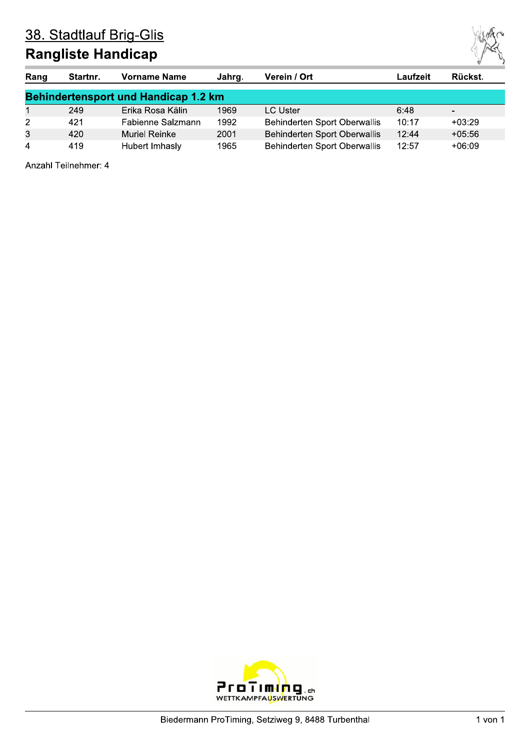## **Rangliste Handicap**

| Rang           | Startnr.                                    | <b>Vorname Name</b>  | Jahrg. | Verein / Ort                        | -aufzeit | Rückst.  |  |  |  |  |
|----------------|---------------------------------------------|----------------------|--------|-------------------------------------|----------|----------|--|--|--|--|
|                | <b>Behindertensport und Handicap 1.2 km</b> |                      |        |                                     |          |          |  |  |  |  |
|                | 249                                         | Erika Rosa Kälin     | 1969   | LC Uster                            | 6:48     |          |  |  |  |  |
| $\overline{2}$ | 421                                         | Fabienne Salzmann    | 1992   | Behinderten Sport Oberwallis        | 10:17    | $+03:29$ |  |  |  |  |
| 3              | 420                                         | <b>Muriel Reinke</b> | 2001   | <b>Behinderten Sport Oberwallis</b> | 12:44    | $+05:56$ |  |  |  |  |
| 4              | 419                                         | Hubert Imhasly       | 1965   | Behinderten Sport Oberwallis        | 12:57    | $+06:09$ |  |  |  |  |